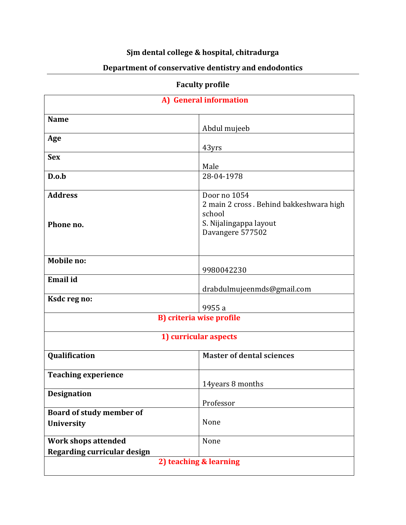## **Sjm dental college & hospital, chitradurga**

## **Department of conservative dentistry and endodontics**

## **Faculty profile**

| A) General information                                           |                                                                   |
|------------------------------------------------------------------|-------------------------------------------------------------------|
| <b>Name</b>                                                      | Abdul mujeeb                                                      |
| Age                                                              | 43yrs                                                             |
| <b>Sex</b>                                                       | Male                                                              |
| D.o.b                                                            | 28-04-1978                                                        |
| <b>Address</b>                                                   | Door no 1054<br>2 main 2 cross. Behind bakkeshwara high<br>school |
| Phone no.                                                        | S. Nijalingappa layout<br>Davangere 577502                        |
| <b>Mobile no:</b>                                                | 9980042230                                                        |
| <b>Email</b> id                                                  | drabdulmujeenmds@gmail.com                                        |
| Ksdc reg no:                                                     | 9955 a                                                            |
| <b>B</b> ) criteria wise profile                                 |                                                                   |
| 1) curricular aspects                                            |                                                                   |
| Qualification                                                    | <b>Master of dental sciences</b>                                  |
| <b>Teaching experience</b>                                       | 14years 8 months                                                  |
| <b>Designation</b>                                               | Professor                                                         |
| Board of study member of<br>University                           | None                                                              |
| <b>Work shops attended</b><br><b>Regarding curricular design</b> | None                                                              |
| 2) teaching & learning                                           |                                                                   |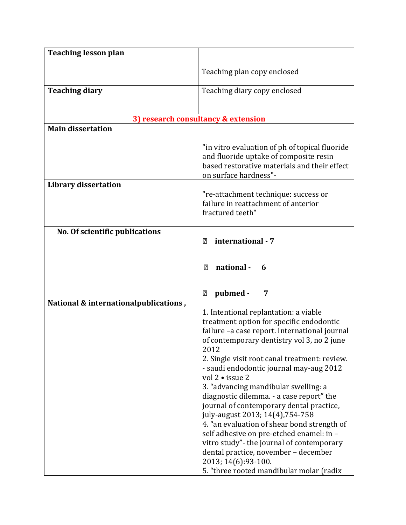| <b>Teaching lesson plan</b>           |                                                                                                                                                                                                                                                                                                                                                                                                                                                                                                                                                                                                                                                                                                                                  |
|---------------------------------------|----------------------------------------------------------------------------------------------------------------------------------------------------------------------------------------------------------------------------------------------------------------------------------------------------------------------------------------------------------------------------------------------------------------------------------------------------------------------------------------------------------------------------------------------------------------------------------------------------------------------------------------------------------------------------------------------------------------------------------|
|                                       | Teaching plan copy enclosed                                                                                                                                                                                                                                                                                                                                                                                                                                                                                                                                                                                                                                                                                                      |
| <b>Teaching diary</b>                 | Teaching diary copy enclosed                                                                                                                                                                                                                                                                                                                                                                                                                                                                                                                                                                                                                                                                                                     |
|                                       | 3) research consultancy & extension                                                                                                                                                                                                                                                                                                                                                                                                                                                                                                                                                                                                                                                                                              |
| <b>Main dissertation</b>              |                                                                                                                                                                                                                                                                                                                                                                                                                                                                                                                                                                                                                                                                                                                                  |
|                                       | "in vitro evaluation of ph of topical fluoride<br>and fluoride uptake of composite resin<br>based restorative materials and their effect<br>on surface hardness"-                                                                                                                                                                                                                                                                                                                                                                                                                                                                                                                                                                |
| <b>Library dissertation</b>           | "re-attachment technique: success or<br>failure in reattachment of anterior<br>fractured teeth"                                                                                                                                                                                                                                                                                                                                                                                                                                                                                                                                                                                                                                  |
| No. Of scientific publications        | international - 7<br>$\sqrt{2}$<br>national -<br>$\sqrt{2}$<br>6                                                                                                                                                                                                                                                                                                                                                                                                                                                                                                                                                                                                                                                                 |
|                                       | pubmed -<br>7<br>$\overline{?}$                                                                                                                                                                                                                                                                                                                                                                                                                                                                                                                                                                                                                                                                                                  |
| National & internationalpublications, | 1. Intentional replantation: a viable<br>treatment option for specific endodontic<br>failure -a case report. International journal<br>of contemporary dentistry vol 3, no 2 june<br>2012<br>2. Single visit root canal treatment: review.<br>- saudi endodontic journal may-aug 2012<br>vol 2 • issue 2<br>3. "advancing mandibular swelling: a<br>diagnostic dilemma. - a case report" the<br>journal of contemporary dental practice,<br>july-august 2013; 14(4), 754-758<br>4. "an evaluation of shear bond strength of<br>self adhesive on pre-etched enamel: in -<br>vitro study" - the journal of contemporary<br>dental practice, november - december<br>2013; 14(6): 93-100.<br>5. "three rooted mandibular molar (radix |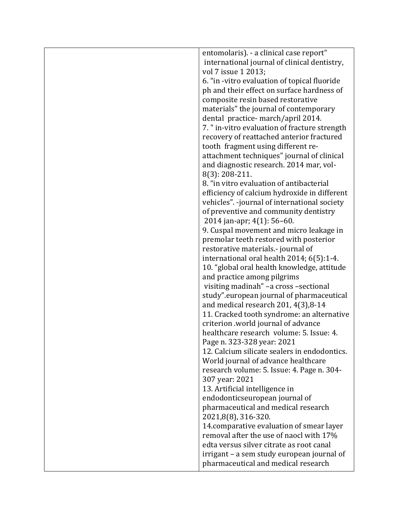| entomolaris). - a clinical case report"       |
|-----------------------------------------------|
| international journal of clinical dentistry,  |
| vol 7 issue 1 2013;                           |
| 6. "in -vitro evaluation of topical fluoride  |
| ph and their effect on surface hardness of    |
| composite resin based restorative             |
| materials" the journal of contemporary        |
| dental practice-march/april 2014.             |
| 7. " in-vitro evaluation of fracture strength |
| recovery of reattached anterior fractured     |
| tooth fragment using different re-            |
| attachment techniques" journal of clinical    |
| and diagnostic research. 2014 mar, vol-       |
| $8(3)$ : 208-211.                             |
| 8. "in vitro evaluation of antibacterial      |
| efficiency of calcium hydroxide in different  |
| vehicles". -journal of international society  |
| of preventive and community dentistry         |
| 2014 jan-apr; 4(1): 56-60.                    |
| 9. Cuspal movement and micro leakage in       |
| premolar teeth restored with posterior        |
| restorative materials.- journal of            |
| international oral health 2014; 6(5):1-4.     |
| 10. "global oral health knowledge, attitude   |
| and practice among pilgrims                   |
| visiting madinah" - a cross - sectional       |
| study".european journal of pharmaceutical     |
| and medical research 201, 4(3), 8-14          |
| 11. Cracked tooth syndrome: an alternative    |
| criterion .world journal of advance           |
| healthcare research volume: 5. Issue: 4.      |
| Page n. 323-328 year: 2021                    |
| 12. Calcium silicate sealers in endodontics.  |
| World journal of advance healthcare           |
| research volume: 5. Issue: 4. Page n. 304-    |
| 307 year: 2021                                |
| 13. Artificial intelligence in                |
| endodonticseuropean journal of                |
| pharmaceutical and medical research           |
| 2021,8(8), 316-320.                           |
| 14. comparative evaluation of smear layer     |
| removal after the use of naocl with 17%       |
| edta versus silver citrate as root canal      |
| irrigant – a sem study european journal of    |
| pharmaceutical and medical research           |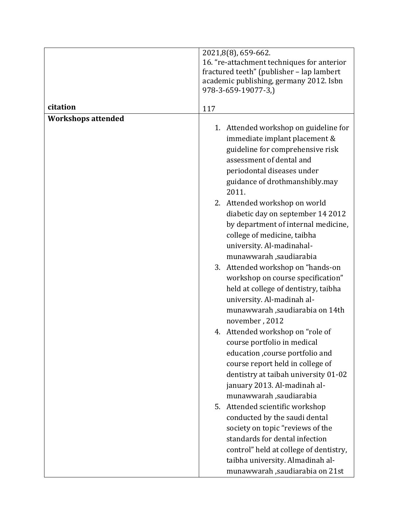|                           | 2021,8(8), 659-662.                        |
|---------------------------|--------------------------------------------|
|                           | 16. "re-attachment techniques for anterior |
|                           | fractured teeth" (publisher - lap lambert  |
|                           | academic publishing, germany 2012. Isbn    |
|                           | 978-3-659-19077-3,)                        |
| citation                  | 117                                        |
| <b>Workshops attended</b> |                                            |
|                           | 1. Attended workshop on guideline for      |
|                           | immediate implant placement &              |
|                           | guideline for comprehensive risk           |
|                           | assessment of dental and                   |
|                           | periodontal diseases under                 |
|                           | guidance of drothmanshibly.may             |
|                           | 2011.                                      |
|                           | 2. Attended workshop on world              |
|                           | diabetic day on september 14 2012          |
|                           | by department of internal medicine,        |
|                           | college of medicine, taibha                |
|                           | university. Al-madinahal-                  |
|                           | munawwarah ,saudiarabia                    |
|                           | 3. Attended workshop on "hands-on          |
|                           | workshop on course specification"          |
|                           | held at college of dentistry, taibha       |
|                           | university. Al-madinah al-                 |
|                           | munawwarah ,saudiarabia on 14th            |
|                           | november, 2012                             |
|                           | 4. Attended workshop on "role of           |
|                           | course portfolio in medical                |
|                           | education , course portfolio and           |
|                           | course report held in college of           |
|                           | dentistry at taibah university 01-02       |
|                           | january 2013. Al-madinah al-               |
|                           | munawwarah ,saudiarabia                    |
|                           | 5. Attended scientific workshop            |
|                           | conducted by the saudi dental              |
|                           | society on topic "reviews of the           |
|                           | standards for dental infection             |
|                           | control" held at college of dentistry,     |
|                           | taibha university. Almadinah al-           |
|                           |                                            |
|                           | munawwarah ,saudiarabia on 21st            |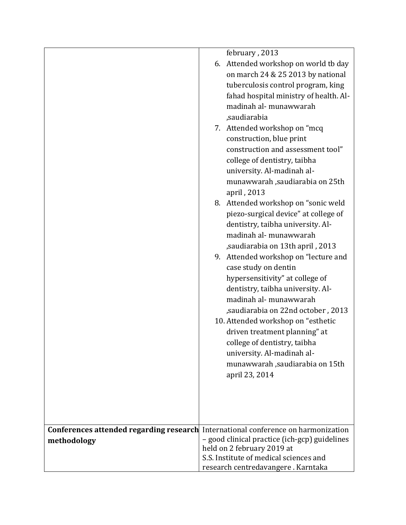|                                                                                                  | february, 2013<br>6. Attended workshop on world tb day<br>on march 24 & 25 2013 by national<br>tuberculosis control program, king<br>fahad hospital ministry of health. Al-<br>madinah al- munawwarah<br>,saudiarabia<br>7. Attended workshop on "mcq<br>construction, blue print<br>construction and assessment tool"<br>college of dentistry, taibha<br>university. Al-madinah al-<br>munawwarah ,saudiarabia on 25th<br>april, 2013<br>8. Attended workshop on "sonic weld<br>piezo-surgical device" at college of<br>dentistry, taibha university. Al-<br>madinah al- munawwarah<br>, saudiarabia on 13th april, 2013<br>9. Attended workshop on "lecture and<br>case study on dentin<br>hypersensitivity" at college of<br>dentistry, taibha university. Al-<br>madinah al- munawwarah<br>,saudiarabia on 22nd october, 2013<br>10. Attended workshop on "esthetic<br>driven treatment planning" at<br>college of dentistry, taibha<br>university. Al-madinah al- |
|--------------------------------------------------------------------------------------------------|------------------------------------------------------------------------------------------------------------------------------------------------------------------------------------------------------------------------------------------------------------------------------------------------------------------------------------------------------------------------------------------------------------------------------------------------------------------------------------------------------------------------------------------------------------------------------------------------------------------------------------------------------------------------------------------------------------------------------------------------------------------------------------------------------------------------------------------------------------------------------------------------------------------------------------------------------------------------|
|                                                                                                  | munawwarah ,saudiarabia on 15th<br>april 23, 2014                                                                                                                                                                                                                                                                                                                                                                                                                                                                                                                                                                                                                                                                                                                                                                                                                                                                                                                      |
|                                                                                                  |                                                                                                                                                                                                                                                                                                                                                                                                                                                                                                                                                                                                                                                                                                                                                                                                                                                                                                                                                                        |
| Conferences attended regarding research International conference on harmonization<br>methodology | - good clinical practice (ich-gcp) guidelines<br>held on 2 february 2019 at<br>S.S. Institute of medical sciences and<br>research centredavangere. Karntaka                                                                                                                                                                                                                                                                                                                                                                                                                                                                                                                                                                                                                                                                                                                                                                                                            |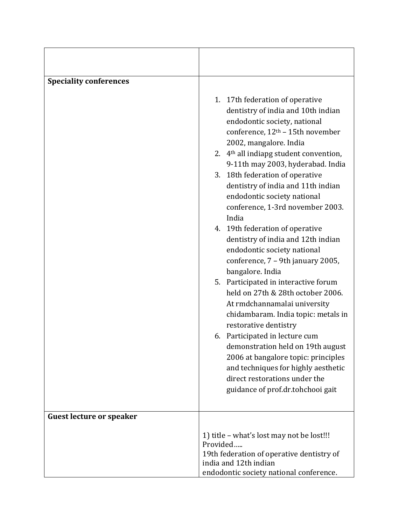| <b>Speciality conferences</b>   |                                                                                                                                                                                                                                                                                                                                                                                                                                                                                                                                                                                                                                                                                                                                                                                                                                                      |
|---------------------------------|------------------------------------------------------------------------------------------------------------------------------------------------------------------------------------------------------------------------------------------------------------------------------------------------------------------------------------------------------------------------------------------------------------------------------------------------------------------------------------------------------------------------------------------------------------------------------------------------------------------------------------------------------------------------------------------------------------------------------------------------------------------------------------------------------------------------------------------------------|
|                                 | 1. 17th federation of operative<br>dentistry of india and 10th indian<br>endodontic society, national<br>conference, 12 <sup>th</sup> - 15th november<br>2002, mangalore. India<br>2. 4 <sup>th</sup> all indiapg student convention,<br>9-11th may 2003, hyderabad. India<br>3. 18th federation of operative<br>dentistry of india and 11th indian<br>endodontic society national<br>conference, 1-3rd november 2003.<br>India<br>4. 19th federation of operative<br>dentistry of india and 12th indian<br>endodontic society national<br>conference, 7 - 9th january 2005,<br>bangalore. India<br>5. Participated in interactive forum<br>held on 27th & 28th october 2006.<br>At rmdchannamalai university<br>chidambaram. India topic: metals in<br>restorative dentistry<br>6. Participated in lecture cum<br>demonstration held on 19th august |
|                                 | 2006 at bangalore topic: principles<br>and techniques for highly aesthetic                                                                                                                                                                                                                                                                                                                                                                                                                                                                                                                                                                                                                                                                                                                                                                           |
|                                 | direct restorations under the<br>guidance of prof.dr.tohchooi gait                                                                                                                                                                                                                                                                                                                                                                                                                                                                                                                                                                                                                                                                                                                                                                                   |
|                                 |                                                                                                                                                                                                                                                                                                                                                                                                                                                                                                                                                                                                                                                                                                                                                                                                                                                      |
| <b>Guest lecture or speaker</b> |                                                                                                                                                                                                                                                                                                                                                                                                                                                                                                                                                                                                                                                                                                                                                                                                                                                      |
|                                 | 1) title – what's lost may not be lost!!!<br>Provided<br>19th federation of operative dentistry of<br>india and 12th indian                                                                                                                                                                                                                                                                                                                                                                                                                                                                                                                                                                                                                                                                                                                          |
|                                 | endodontic society national conference.                                                                                                                                                                                                                                                                                                                                                                                                                                                                                                                                                                                                                                                                                                                                                                                                              |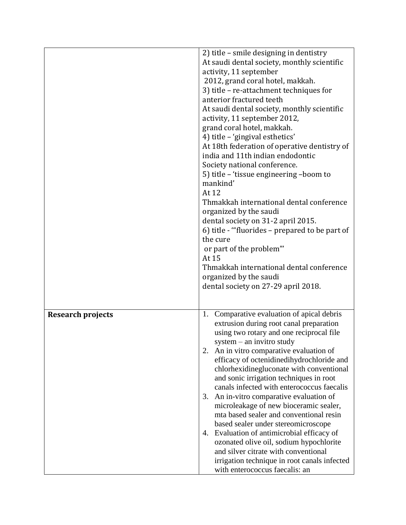|                          | 2) title - smile designing in dentistry<br>At saudi dental society, monthly scientific |
|--------------------------|----------------------------------------------------------------------------------------|
|                          | activity, 11 september                                                                 |
|                          | 2012, grand coral hotel, makkah.                                                       |
|                          | 3) title - re-attachment techniques for                                                |
|                          | anterior fractured teeth                                                               |
|                          | At saudi dental society, monthly scientific                                            |
|                          | activity, 11 september 2012,                                                           |
|                          | grand coral hotel, makkah.                                                             |
|                          | 4) title - 'gingival esthetics'                                                        |
|                          | At 18th federation of operative dentistry of                                           |
|                          | india and 11th indian endodontic                                                       |
|                          | Society national conference.                                                           |
|                          | 5) title - 'tissue engineering -boom to                                                |
|                          | mankind'                                                                               |
|                          | At 12                                                                                  |
|                          | Thmakkah international dental conference                                               |
|                          | organized by the saudi                                                                 |
|                          | dental society on 31-2 april 2015.                                                     |
|                          | 6) title - "fluorides – prepared to be part of                                         |
|                          | the cure                                                                               |
|                          | or part of the problem"                                                                |
|                          | At 15                                                                                  |
|                          | Thmakkah international dental conference                                               |
|                          | organized by the saudi                                                                 |
|                          | dental society on 27-29 april 2018.                                                    |
|                          |                                                                                        |
|                          |                                                                                        |
| <b>Research projects</b> | 1. Comparative evaluation of apical debris                                             |
|                          | extrusion during root canal preparation                                                |
|                          | using two rotary and one reciprocal file                                               |
|                          | system $-$ an invitro study<br>An in vitro comparative evaluation of<br>2.             |
|                          | efficacy of octenidinedihydrochloride and                                              |
|                          | chlorhexidinegluconate with conventional                                               |
|                          | and sonic irrigation techniques in root                                                |
|                          | canals infected with enterococcus faecalis                                             |
|                          | An in-vitro comparative evaluation of<br>3.                                            |
|                          | microleakage of new bioceramic sealer,                                                 |
|                          | mta based sealer and conventional resin                                                |
|                          | based sealer under stereomicroscope                                                    |
|                          | Evaluation of antimicrobial efficacy of<br>4.                                          |
|                          | ozonated olive oil, sodium hypochlorite                                                |
|                          | and silver citrate with conventional                                                   |
|                          | irrigation technique in root canals infected                                           |
|                          | with enterococcus faecalis: an                                                         |
|                          |                                                                                        |